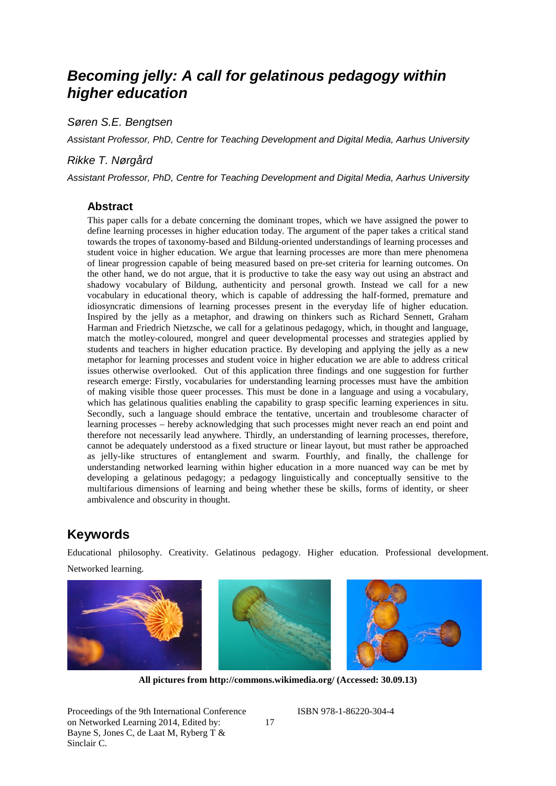# *Becoming jelly: A call for gelatinous pedagogy within higher education*

*Søren S.E. Bengtsen*

*Assistant Professor, PhD, Centre for Teaching Development and Digital Media, Aarhus University*

#### *Rikke T. Nørgård*

*Assistant Professor, PhD, Centre for Teaching Development and Digital Media, Aarhus University*

#### **Abstract**

This paper calls for a debate concerning the dominant tropes, which we have assigned the power to define learning processes in higher education today. The argument of the paper takes a critical stand towards the tropes of taxonomy-based and Bildung-oriented understandings of learning processes and student voice in higher education. We argue that learning processes are more than mere phenomena of linear progression capable of being measured based on pre-set criteria for learning outcomes. On the other hand, we do not argue, that it is productive to take the easy way out using an abstract and shadowy vocabulary of Bildung, authenticity and personal growth. Instead we call for a new vocabulary in educational theory, which is capable of addressing the half-formed, premature and idiosyncratic dimensions of learning processes present in the everyday life of higher education. Inspired by the jelly as a metaphor, and drawing on thinkers such as Richard Sennett, Graham Harman and Friedrich Nietzsche, we call for a gelatinous pedagogy, which, in thought and language, match the motley-coloured, mongrel and queer developmental processes and strategies applied by students and teachers in higher education practice. By developing and applying the jelly as a new metaphor for learning processes and student voice in higher education we are able to address critical issues otherwise overlooked. Out of this application three findings and one suggestion for further research emerge: Firstly, vocabularies for understanding learning processes must have the ambition of making visible those queer processes. This must be done in a language and using a vocabulary, which has gelatinous qualities enabling the capability to grasp specific learning experiences in situ. Secondly, such a language should embrace the tentative, uncertain and troublesome character of learning processes – hereby acknowledging that such processes might never reach an end point and therefore not necessarily lead anywhere. Thirdly, an understanding of learning processes, therefore, cannot be adequately understood as a fixed structure or linear layout, but must rather be approached as jelly-like structures of entanglement and swarm. Fourthly, and finally, the challenge for understanding networked learning within higher education in a more nuanced way can be met by developing a gelatinous pedagogy; a pedagogy linguistically and conceptually sensitive to the multifarious dimensions of learning and being whether these be skills, forms of identity, or sheer ambivalence and obscurity in thought.

## **Keywords**

Educational philosophy. Creativity. Gelatinous pedagogy. Higher education. Professional development. Networked learning.

**All pictures from http://commons.wikimedia.org/ (Accessed: 30.09.13)**

Proceedings of the 9th International Conference on Networked Learning 2014, Edited by: Bayne S, Jones C, de Laat M, Ryberg T & Sinclair C.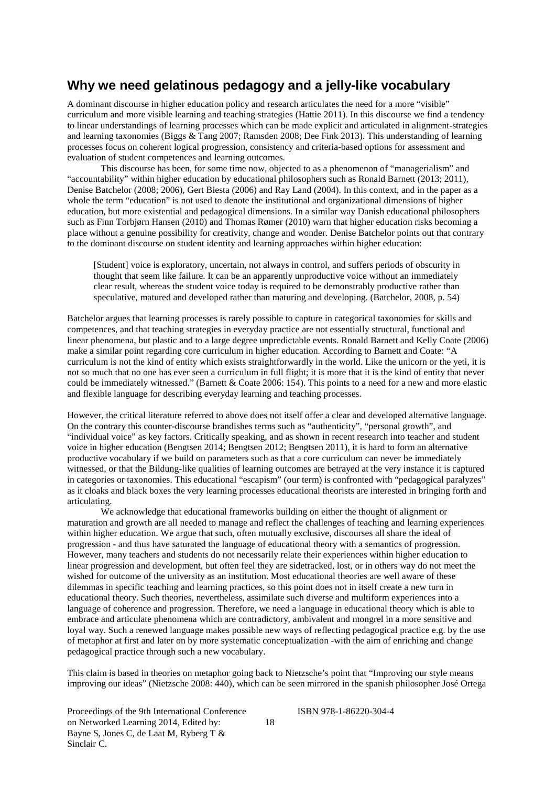## **Why we need gelatinous pedagogy and a jelly-like vocabulary**

A dominant discourse in higher education policy and research articulates the need for a more "visible" curriculum and more visible learning and teaching strategies (Hattie 2011). In this discourse we find a tendency to linear understandings of learning processes which can be made explicit and articulated in alignment-strategies and learning taxonomies (Biggs & Tang 2007; Ramsden 2008; Dee Fink 2013). This understanding of learning processes focus on coherent logical progression, consistency and criteria-based options for assessment and evaluation of student competences and learning outcomes.

This discourse has been, for some time now, objected to as a phenomenon of "managerialism" and "accountability" within higher education by educational philosophers such as Ronald Barnett (2013; 2011), Denise Batchelor (2008; 2006), Gert Biesta (2006) and Ray Land (2004). In this context, and in the paper as a whole the term "education" is not used to denote the institutional and organizational dimensions of higher education, but more existential and pedagogical dimensions. In a similar way Danish educational philosophers such as Finn Torbjørn Hansen (2010) and Thomas Rømer (2010) warn that higher education risks becoming a place without a genuine possibility for creativity, change and wonder. Denise Batchelor points out that contrary to the dominant discourse on student identity and learning approaches within higher education:

[Student] voice is exploratory, uncertain, not always in control, and suffers periods of obscurity in thought that seem like failure. It can be an apparently unproductive voice without an immediately clear result, whereas the student voice today is required to be demonstrably productive rather than speculative, matured and developed rather than maturing and developing. (Batchelor, 2008, p. 54)

Batchelor argues that learning processes is rarely possible to capture in categorical taxonomies for skills and competences, and that teaching strategies in everyday practice are not essentially structural, functional and linear phenomena, but plastic and to a large degree unpredictable events. Ronald Barnett and Kelly Coate (2006) make a similar point regarding core curriculum in higher education. According to Barnett and Coate: "A curriculum is not the kind of entity which exists straightforwardly in the world. Like the unicorn or the yeti, it is not so much that no one has ever seen a curriculum in full flight; it is more that it is the kind of entity that never could be immediately witnessed." (Barnett & Coate 2006: 154). This points to a need for a new and more elastic and flexible language for describing everyday learning and teaching processes.

However, the critical literature referred to above does not itself offer a clear and developed alternative language. On the contrary this counter-discourse brandishes terms such as "authenticity", "personal growth", and "individual voice" as key factors. Critically speaking, and as shown in recent research into teacher and student voice in higher education (Bengtsen 2014; Bengtsen 2012; Bengtsen 2011), it is hard to form an alternative productive vocabulary if we build on parameters such as that a core curriculum can never be immediately witnessed, or that the Bildung-like qualities of learning outcomes are betrayed at the very instance it is captured in categories or taxonomies. This educational "escapism" (our term) is confronted with "pedagogical paralyzes" as it cloaks and black boxes the very learning processes educational theorists are interested in bringing forth and articulating.

We acknowledge that educational frameworks building on either the thought of alignment or maturation and growth are all needed to manage and reflect the challenges of teaching and learning experiences within higher education. We argue that such, often mutually exclusive, discourses all share the ideal of progression - and thus have saturated the language of educational theory with a semantics of progression. However, many teachers and students do not necessarily relate their experiences within higher education to linear progression and development, but often feel they are sidetracked, lost, or in others way do not meet the wished for outcome of the university as an institution. Most educational theories are well aware of these dilemmas in specific teaching and learning practices, so this point does not in itself create a new turn in educational theory. Such theories, nevertheless, assimilate such diverse and multiform experiences into a language of coherence and progression. Therefore, we need a language in educational theory which is able to embrace and articulate phenomena which are contradictory, ambivalent and mongrel in a more sensitive and loyal way. Such a renewed language makes possible new ways of reflecting pedagogical practice e.g. by the use of metaphor at first and later on by more systematic conceptualization -with the aim of enriching and change pedagogical practice through such a new vocabulary.

This claim is based in theories on metaphor going back to Nietzsche's point that "Improving our style means improving our ideas" (Nietzsche 2008: 440), which can be seen mirrored in the spanish philosopher José Ortega

18

Proceedings of the 9th International Conference on Networked Learning 2014, Edited by: Bayne S, Jones C, de Laat M, Ryberg T & Sinclair C.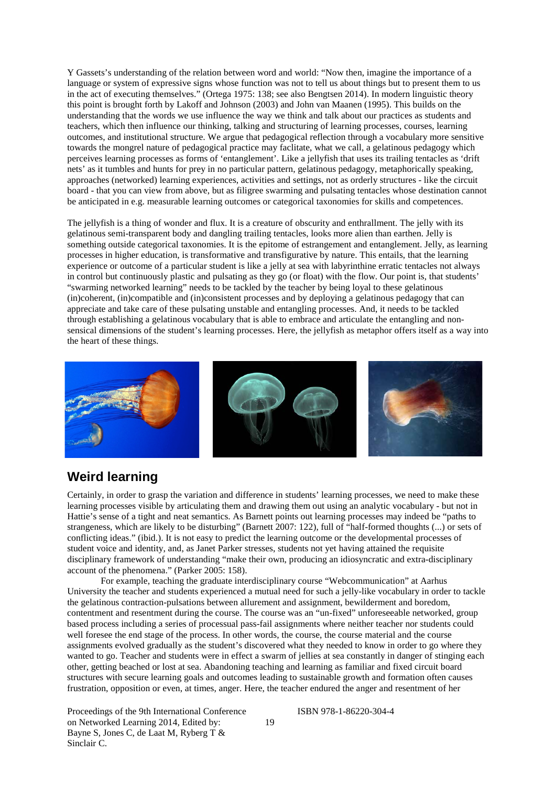Y Gassets's understanding of the relation between word and world: "Now then, imagine the importance of a language or system of expressive signs whose function was not to tell us about things but to present them to us in the act of executing themselves." (Ortega 1975: 138; see also Bengtsen 2014). In modern linguistic theory this point is brought forth by Lakoff and Johnson (2003) and John van Maanen (1995). This builds on the understanding that the words we use influence the way we think and talk about our practices as students and teachers, which then influence our thinking, talking and structuring of learning processes, courses, learning outcomes, and institutional structure. We argue that pedagogical reflection through a vocabulary more sensitive towards the mongrel nature of pedagogical practice may faclitate, what we call, a gelatinous pedagogy which perceives learning processes as forms of 'entanglement'. Like a jellyfish that uses its trailing tentacles as 'drift nets' as it tumbles and hunts for prey in no particular pattern, gelatinous pedagogy, metaphorically speaking, approaches (networked) learning experiences, activities and settings, not as orderly structures - like the circuit board - that you can view from above, but as filigree swarming and pulsating tentacles whose destination cannot be anticipated in e.g. measurable learning outcomes or categorical taxonomies for skills and competences.

The jellyfish is a thing of wonder and flux. It is a creature of obscurity and enthrallment. The jelly with its gelatinous semi-transparent body and dangling trailing tentacles, looks more alien than earthen. Jelly is something outside categorical taxonomies. It is the epitome of estrangement and entanglement. Jelly, as learning processes in higher education, is transformative and transfigurative by nature. This entails, that the learning experience or outcome of a particular student is like a jelly at sea with labyrinthine erratic tentacles not always in control but continuously plastic and pulsating as they go (or float) with the flow. Our point is, that students' "swarming networked learning" needs to be tackled by the teacher by being loyal to these gelatinous (in)coherent, (in)compatible and (in)consistent processes and by deploying a gelatinous pedagogy that can appreciate and take care of these pulsating unstable and entangling processes. And, it needs to be tackled through establishing a gelatinous vocabulary that is able to embrace and articulate the entangling and nonsensical dimensions of the student's learning processes. Here, the jellyfish as metaphor offers itself as a way into the heart of these things.



## **Weird learning**

Certainly, in order to grasp the variation and difference in students' learning processes, we need to make these learning processes visible by articulating them and drawing them out using an analytic vocabulary - but not in Hattie's sense of a tight and neat semantics. As Barnett points out learning processes may indeed be "paths to strangeness, which are likely to be disturbing" (Barnett 2007: 122), full of "half-formed thoughts (...) or sets of conflicting ideas." (ibid.). It is not easy to predict the learning outcome or the developmental processes of student voice and identity, and, as Janet Parker stresses, students not yet having attained the requisite disciplinary framework of understanding "make their own, producing an idiosyncratic and extra-disciplinary account of the phenomena." (Parker 2005: 158).

For example, teaching the graduate interdisciplinary course "Webcommunication" at Aarhus University the teacher and students experienced a mutual need for such a jelly-like vocabulary in order to tackle the gelatinous contraction-pulsations between allurement and assignment, bewilderment and boredom, contentment and resentment during the course. The course was an "un-fixed" unforeseeable networked, group based process including a series of processual pass-fail assignments where neither teacher nor students could well foresee the end stage of the process. In other words, the course, the course material and the course assignments evolved gradually as the student's discovered what they needed to know in order to go where they wanted to go. Teacher and students were in effect a swarm of jellies at sea constantly in danger of stinging each other, getting beached or lost at sea. Abandoning teaching and learning as familiar and fixed circuit board structures with secure learning goals and outcomes leading to sustainable growth and formation often causes frustration, opposition or even, at times, anger. Here, the teacher endured the anger and resentment of her

19

Proceedings of the 9th International Conference on Networked Learning 2014, Edited by: Bayne S, Jones C, de Laat M, Ryberg T & Sinclair C.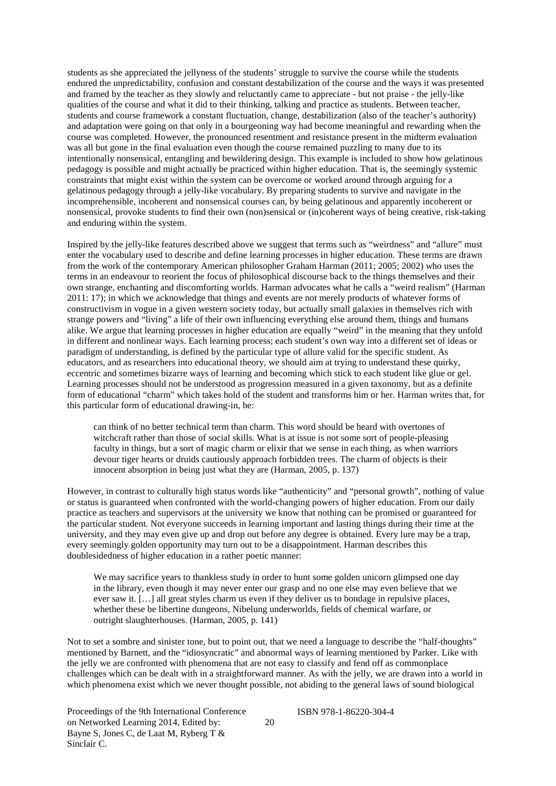students as she appreciated the jellyness of the students' struggle to survive the course while the students endured the unpredictability, confusion and constant destabilization of the course and the ways it was presented and framed by the teacher as they slowly and reluctantly came to appreciate - but not praise - the jelly-like qualities of the course and what it did to their thinking, talking and practice as students. Between teacher, students and course framework a constant fluctuation, change, destabilization (also of the teacher's authority) and adaptation were going on that only in a bourgeoning way had become meaningful and rewarding when the course was completed. However, the pronounced resentment and resistance present in the midterm evaluation was all but gone in the final evaluation even though the course remained puzzling to many due to its intentionally nonsensical, entangling and bewildering design. This example is included to show how gelatinous pedagogy is possible and might actually be practiced within higher education. That is, the seemingly systemic constraints that might exist within the system can be overcome or worked around through arguing for a gelatinous pedagogy through a jelly-like vocabulary. By preparing students to survive and navigate in the incomprehensible, incoherent and nonsensical courses can, by being gelatinous and apparently incoherent or nonsensical, provoke students to find their own (non)sensical or (in)coherent ways of being creative, risk-taking and enduring within the system.

Inspired by the jelly-like features described above we suggest that terms such as "weirdness" and "allure" must enter the vocabulary used to describe and define learning processes in higher education. These terms are drawn from the work of the contemporary American philosopher Graham Harman (2011; 2005; 2002) who uses the terms in an endeavour to reorient the focus of philosophical discourse back to the things themselves and their own strange, enchanting and discomforting worlds. Harman advocates what he calls a "weird realism" (Harman 2011: 17); in which we acknowledge that things and events are not merely products of whatever forms of constructivism in vogue in a given western society today, but actually small galaxies in themselves rich with strange powers and "living" a life of their own influencing everything else around them, things and humans alike. We argue that learning processes in higher education are equally "weird" in the meaning that they unfold in different and nonlinear ways. Each learning process; each student's own way into a different set of ideas or paradigm of understanding, is defined by the particular type of allure valid for the specific student. As educators, and as researchers into educational theory, we should aim at trying to understand these quirky, eccentric and sometimes bizarre ways of learning and becoming which stick to each student like glue or gel. Learning processes should not be understood as progression measured in a given taxonomy, but as a definite form of educational "charm" which takes hold of the student and transforms him or her. Harman writes that, for this particular form of educational drawing-in, he:

can think of no better technical term than charm. This word should be heard with overtones of witchcraft rather than those of social skills. What is at issue is not some sort of people-pleasing faculty in things, but a sort of magic charm or elixir that we sense in each thing, as when warriors devour tiger hearts or druids cautiously approach forbidden trees. The charm of objects is their innocent absorption in being just what they are (Harman, 2005, p. 137)

However, in contrast to culturally high status words like "authenticity" and "personal growth", nothing of value or status is guaranteed when confronted with the world-changing powers of higher education. From our daily practice as teachers and supervisors at the university we know that nothing can be promised or guaranteed for the particular student. Not everyone succeeds in learning important and lasting things during their time at the university, and they may even give up and drop out before any degree is obtained. Every lure may be a trap, every seemingly golden opportunity may turn out to be a disappointment. Harman describes this doublesidedness of higher education in a rather poetic manner:

We may sacrifice years to thankless study in order to hunt some golden unicorn glimpsed one day in the library, even though it may never enter our grasp and no one else may even believe that we ever saw it. […] all great styles charm us even if they deliver us to bondage in repulsive places, whether these be libertine dungeons, Nibelung underworlds, fields of chemical warfare, or outright slaughterhouses. (Harman, 2005, p. 141)

Not to set a sombre and sinister tone, but to point out, that we need a language to describe the "half-thoughts" mentioned by Barnett, and the "idiosyncratic" and abnormal ways of learning mentioned by Parker. Like with the jelly we are confronted with phenomena that are not easy to classify and fend off as commonplace challenges which can be dealt with in a straightforward manner. As with the jelly, we are drawn into a world in which phenomena exist which we never thought possible, not abiding to the general laws of sound biological

Proceedings of the 9th International Conference on Networked Learning 2014, Edited by: Bayne S, Jones C, de Laat M, Ryberg T & Sinclair C.

20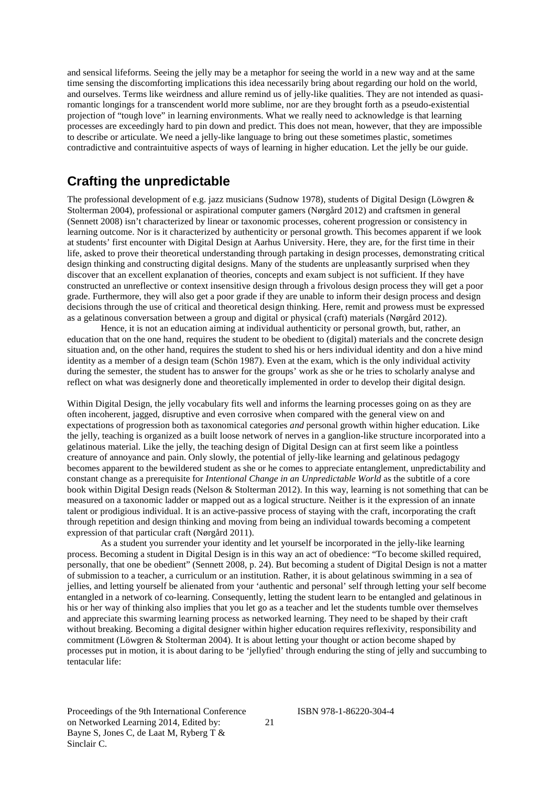and sensical lifeforms. Seeing the jelly may be a metaphor for seeing the world in a new way and at the same time sensing the discomforting implications this idea necessarily bring about regarding our hold on the world, and ourselves. Terms like weirdness and allure remind us of jelly-like qualities. They are not intended as quasiromantic longings for a transcendent world more sublime, nor are they brought forth as a pseudo-existential projection of "tough love" in learning environments. What we really need to acknowledge is that learning processes are exceedingly hard to pin down and predict. This does not mean, however, that they are impossible to describe or articulate. We need a jelly-like language to bring out these sometimes plastic, sometimes contradictive and contraintuitive aspects of ways of learning in higher education. Let the jelly be our guide.

#### **Crafting the unpredictable**

The professional development of e.g. jazz musicians (Sudnow 1978), students of Digital Design (Löwgren & Stolterman 2004), professional or aspirational computer gamers (Nørgård 2012) and craftsmen in general (Sennett 2008) isn't characterized by linear or taxonomic processes, coherent progression or consistency in learning outcome. Nor is it characterized by authenticity or personal growth. This becomes apparent if we look at students' first encounter with Digital Design at Aarhus University. Here, they are, for the first time in their life, asked to prove their theoretical understanding through partaking in design processes, demonstrating critical design thinking and constructing digital designs. Many of the students are unpleasantly surprised when they discover that an excellent explanation of theories, concepts and exam subject is not sufficient. If they have constructed an unreflective or context insensitive design through a frivolous design process they will get a poor grade. Furthermore, they will also get a poor grade if they are unable to inform their design process and design decisions through the use of critical and theoretical design thinking. Here, remit and prowess must be expressed as a gelatinous conversation between a group and digital or physical (craft) materials (Nørgård 2012).

Hence, it is not an education aiming at individual authenticity or personal growth, but, rather, an education that on the one hand, requires the student to be obedient to (digital) materials and the concrete design situation and, on the other hand, requires the student to shed his or hers individual identity and don a hive mind identity as a member of a design team (Schön 1987). Even at the exam, which is the only individual activity during the semester, the student has to answer for the groups' work as she or he tries to scholarly analyse and reflect on what was designerly done and theoretically implemented in order to develop their digital design.

Within Digital Design, the jelly vocabulary fits well and informs the learning processes going on as they are often incoherent, jagged, disruptive and even corrosive when compared with the general view on and expectations of progression both as taxonomical categories *and* personal growth within higher education. Like the jelly, teaching is organized as a built loose network of nerves in a ganglion-like structure incorporated into a gelatinous material. Like the jelly, the teaching design of Digital Design can at first seem like a pointless creature of annoyance and pain. Only slowly, the potential of jelly-like learning and gelatinous pedagogy becomes apparent to the bewildered student as she or he comes to appreciate entanglement, unpredictability and constant change as a prerequisite for *Intentional Change in an Unpredictable World* as the subtitle of a core book within Digital Design reads (Nelson & Stolterman 2012). In this way, learning is not something that can be measured on a taxonomic ladder or mapped out as a logical structure. Neither is it the expression of an innate talent or prodigious individual. It is an active-passive process of staying with the craft, incorporating the craft through repetition and design thinking and moving from being an individual towards becoming a competent expression of that particular craft (Nørgård 2011).

As a student you surrender your identity and let yourself be incorporated in the jelly-like learning process. Becoming a student in Digital Design is in this way an act of obedience: "To become skilled required, personally, that one be obedient" (Sennett 2008, p. 24). But becoming a student of Digital Design is not a matter of submission to a teacher, a curriculum or an institution. Rather, it is about gelatinous swimming in a sea of jellies, and letting yourself be alienated from your 'authentic and personal' self through letting your self become entangled in a network of co-learning. Consequently, letting the student learn to be entangled and gelatinous in his or her way of thinking also implies that you let go as a teacher and let the students tumble over themselves and appreciate this swarming learning process as networked learning. They need to be shaped by their craft without breaking. Becoming a digital designer within higher education requires reflexivity, responsibility and commitment (Löwgren & Stolterman 2004). It is about letting your thought or action become shaped by processes put in motion, it is about daring to be 'jellyfied' through enduring the sting of jelly and succumbing to tentacular life:

Proceedings of the 9th International Conference on Networked Learning 2014, Edited by: Bayne S, Jones C, de Laat M, Ryberg T & Sinclair C.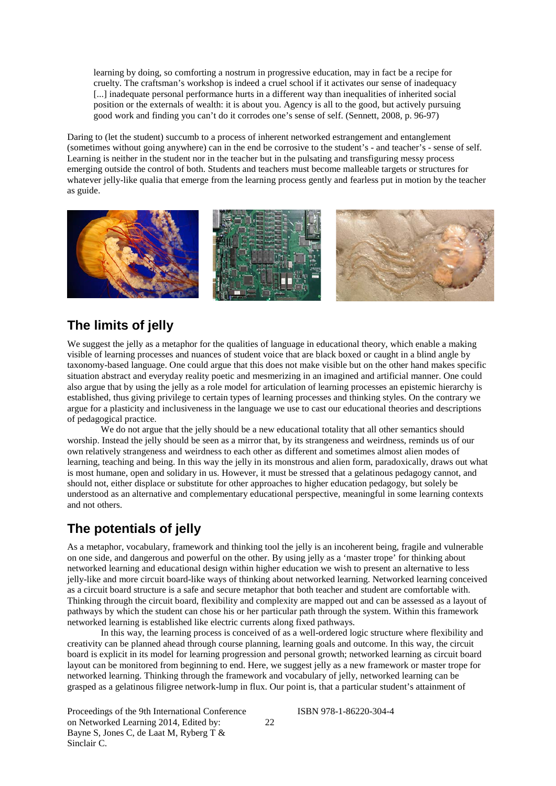learning by doing, so comforting a nostrum in progressive education, may in fact be a recipe for cruelty. The craftsman's workshop is indeed a cruel school if it activates our sense of inadequacy [...] inadequate personal performance hurts in a different way than inequalities of inherited social position or the externals of wealth: it is about you. Agency is all to the good, but actively pursuing good work and finding you can't do it corrodes one's sense of self. (Sennett, 2008, p. 96-97)

Daring to (let the student) succumb to a process of inherent networked estrangement and entanglement (sometimes without going anywhere) can in the end be corrosive to the student's - and teacher's - sense of self. Learning is neither in the student nor in the teacher but in the pulsating and transfiguring messy process emerging outside the control of both. Students and teachers must become malleable targets or structures for whatever jelly-like qualia that emerge from the learning process gently and fearless put in motion by the teacher as guide.



## **The limits of jelly**

We suggest the jelly as a metaphor for the qualities of language in educational theory, which enable a making visible of learning processes and nuances of student voice that are black boxed or caught in a blind angle by taxonomy-based language. One could argue that this does not make visible but on the other hand makes specific situation abstract and everyday reality poetic and mesmerizing in an imagined and artificial manner. One could also argue that by using the jelly as a role model for articulation of learning processes an epistemic hierarchy is established, thus giving privilege to certain types of learning processes and thinking styles. On the contrary we argue for a plasticity and inclusiveness in the language we use to cast our educational theories and descriptions of pedagogical practice.

We do not argue that the jelly should be a new educational totality that all other semantics should worship. Instead the jelly should be seen as a mirror that, by its strangeness and weirdness, reminds us of our own relatively strangeness and weirdness to each other as different and sometimes almost alien modes of learning, teaching and being. In this way the jelly in its monstrous and alien form, paradoxically, draws out what is most humane, open and solidary in us. However, it must be stressed that a gelatinous pedagogy cannot, and should not, either displace or substitute for other approaches to higher education pedagogy, but solely be understood as an alternative and complementary educational perspective, meaningful in some learning contexts and not others.

# **The potentials of jelly**

As a metaphor, vocabulary, framework and thinking tool the jelly is an incoherent being, fragile and vulnerable on one side, and dangerous and powerful on the other. By using jelly as a 'master trope' for thinking about networked learning and educational design within higher education we wish to present an alternative to less jelly-like and more circuit board-like ways of thinking about networked learning. Networked learning conceived as a circuit board structure is a safe and secure metaphor that both teacher and student are comfortable with. Thinking through the circuit board, flexibility and complexity are mapped out and can be assessed as a layout of pathways by which the student can chose his or her particular path through the system. Within this framework networked learning is established like electric currents along fixed pathways.

In this way, the learning process is conceived of as a well-ordered logic structure where flexibility and creativity can be planned ahead through course planning, learning goals and outcome. In this way, the circuit board is explicit in its model for learning progression and personal growth; networked learning as circuit board layout can be monitored from beginning to end. Here, we suggest jelly as a new framework or master trope for networked learning. Thinking through the framework and vocabulary of jelly, networked learning can be grasped as a gelatinous filigree network-lump in flux. Our point is, that a particular student's attainment of

Proceedings of the 9th International Conference on Networked Learning 2014, Edited by: Bayne S, Jones C, de Laat M, Ryberg T & Sinclair C.

22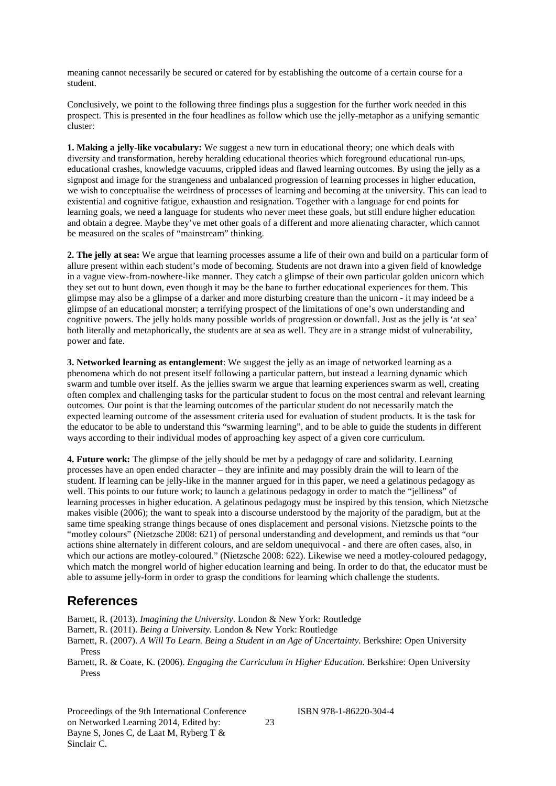meaning cannot necessarily be secured or catered for by establishing the outcome of a certain course for a student.

Conclusively, we point to the following three findings plus a suggestion for the further work needed in this prospect. This is presented in the four headlines as follow which use the jelly-metaphor as a unifying semantic cluster:

**1. Making a jelly-like vocabulary:** We suggest a new turn in educational theory; one which deals with diversity and transformation, hereby heralding educational theories which foreground educational run-ups, educational crashes, knowledge vacuums, crippled ideas and flawed learning outcomes. By using the jelly as a signpost and image for the strangeness and unbalanced progression of learning processes in higher education, we wish to conceptualise the weirdness of processes of learning and becoming at the university. This can lead to existential and cognitive fatigue, exhaustion and resignation. Together with a language for end points for learning goals, we need a language for students who never meet these goals, but still endure higher education and obtain a degree. Maybe they've met other goals of a different and more alienating character, which cannot be measured on the scales of "mainstream" thinking.

**2. The jelly at sea:** We argue that learning processes assume a life of their own and build on a particular form of allure present within each student's mode of becoming. Students are not drawn into a given field of knowledge in a vague view-from-nowhere-like manner. They catch a glimpse of their own particular golden unicorn which they set out to hunt down, even though it may be the bane to further educational experiences for them. This glimpse may also be a glimpse of a darker and more disturbing creature than the unicorn - it may indeed be a glimpse of an educational monster; a terrifying prospect of the limitations of one's own understanding and cognitive powers. The jelly holds many possible worlds of progression or downfall. Just as the jelly is 'at sea' both literally and metaphorically, the students are at sea as well. They are in a strange midst of vulnerability, power and fate.

**3. Networked learning as entanglement**: We suggest the jelly as an image of networked learning as a phenomena which do not present itself following a particular pattern, but instead a learning dynamic which swarm and tumble over itself. As the jellies swarm we argue that learning experiences swarm as well, creating often complex and challenging tasks for the particular student to focus on the most central and relevant learning outcomes. Our point is that the learning outcomes of the particular student do not necessarily match the expected learning outcome of the assessment criteria used for evaluation of student products. It is the task for the educator to be able to understand this "swarming learning", and to be able to guide the students in different ways according to their individual modes of approaching key aspect of a given core curriculum.

**4. Future work:** The glimpse of the jelly should be met by a pedagogy of care and solidarity. Learning processes have an open ended character – they are infinite and may possibly drain the will to learn of the student. If learning can be jelly-like in the manner argued for in this paper, we need a gelatinous pedagogy as well. This points to our future work; to launch a gelatinous pedagogy in order to match the "jelliness" of learning processes in higher education. A gelatinous pedagogy must be inspired by this tension, which Nietzsche makes visible (2006); the want to speak into a discourse understood by the majority of the paradigm, but at the same time speaking strange things because of ones displacement and personal visions. Nietzsche points to the "motley colours" (Nietzsche 2008: 621) of personal understanding and development, and reminds us that "our actions shine alternately in different colours, and are seldom unequivocal - and there are often cases, also, in which our actions are motley-coloured." (Nietzsche 2008: 622). Likewise we need a motley-coloured pedagogy, which match the mongrel world of higher education learning and being. In order to do that, the educator must be able to assume jelly-form in order to grasp the conditions for learning which challenge the students.

#### **References**

Barnett, R. (2013). *Imagining the University*. London & New York: Routledge

Barnett, R. (2011). *Being a University.* London & New York: Routledge

Barnett, R. (2007). *A Will To Learn. Being a Student in an Age of Uncertainty.* Berkshire: Open University Press

Barnett, R. & Coate, K. (2006). *Engaging the Curriculum in Higher Education*. Berkshire: Open University Press

Proceedings of the 9th International Conference on Networked Learning 2014, Edited by: Bayne S, Jones C, de Laat M, Ryberg T & Sinclair C.

23